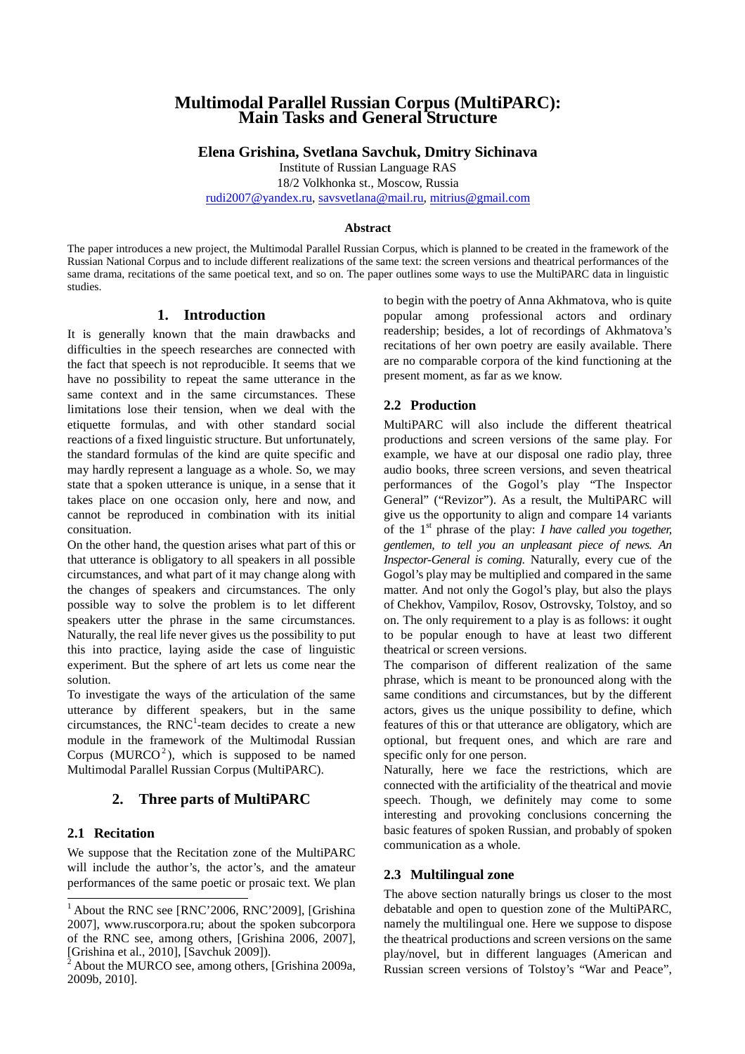# **Multimodal Parallel Russian Corpus (MultiPARC): Main Tasks and General Structure**

**Elena Grishina, Svetlana Savchuk, Dmitry Sichinava** 

Institute of Russian Language RAS

18/2 Volkhonka st., Moscow, Russia

rudi2007@yandex.ru, savsvetlana@mail.ru, mitrius@gmail.com

#### **Abstract**

The paper introduces a new project, the Multimodal Parallel Russian Corpus, which is planned to be created in the framework of the Russian National Corpus and to include different realizations of the same text: the screen versions and theatrical performances of the same drama, recitations of the same poetical text, and so on. The paper outlines some ways to use the MultiPARC data in linguistic studies.

### **1. Introduction**

It is generally known that the main drawbacks and difficulties in the speech researches are connected with the fact that speech is not reproducible. It seems that we have no possibility to repeat the same utterance in the same context and in the same circumstances. These limitations lose their tension, when we deal with the etiquette formulas, and with other standard social reactions of a fixed linguistic structure. But unfortunately, the standard formulas of the kind are quite specific and may hardly represent a language as a whole. So, we may state that a spoken utterance is unique, in a sense that it takes place on one occasion only, here and now, and cannot be reproduced in combination with its initial consituation.

On the other hand, the question arises what part of this or that utterance is obligatory to all speakers in all possible circumstances, and what part of it may change along with the changes of speakers and circumstances. The only possible way to solve the problem is to let different speakers utter the phrase in the same circumstances. Naturally, the real life never gives us the possibility to put this into practice, laying aside the case of linguistic experiment. But the sphere of art lets us come near the solution.

To investigate the ways of the articulation of the same utterance by different speakers, but in the same circumstances, the  $RNC<sup>1</sup>$ -team decides to create a new module in the framework of the Multimodal Russian Corpus (MURCO<sup>2</sup>), which is supposed to be named Multimodal Parallel Russian Corpus (MultiPARC).

## **2. Three parts of MultiPARC**

### **2.1 Recitation**

l

We suppose that the Recitation zone of the MultiPARC will include the author's, the actor's, and the amateur performances of the same poetic or prosaic text. We plan to begin with the poetry of Anna Akhmatova, who is quite popular among professional actors and ordinary readership; besides, a lot of recordings of Akhmatova's recitations of her own poetry are easily available. There are no comparable corpora of the kind functioning at the present moment, as far as we know.

# **2.2 Production**

MultiPARC will also include the different theatrical productions and screen versions of the same play. For example, we have at our disposal one radio play, three audio books, three screen versions, and seven theatrical performances of the Gogol's play "The Inspector General" ("Revizor"). As a result, the MultiPARC will give us the opportunity to align and compare 14 variants of the 1st phrase of the play: *I have called you together, gentlemen, to tell you an unpleasant piece of news. An Inspector-General is coming*. Naturally, every cue of the Gogol's play may be multiplied and compared in the same matter. And not only the Gogol's play, but also the plays of Chekhov, Vampilov, Rosov, Ostrovsky, Tolstoy, and so on. The only requirement to a play is as follows: it ought to be popular enough to have at least two different theatrical or screen versions.

The comparison of different realization of the same phrase, which is meant to be pronounced along with the same conditions and circumstances, but by the different actors, gives us the unique possibility to define, which features of this or that utterance are obligatory, which are optional, but frequent ones, and which are rare and specific only for one person.

Naturally, here we face the restrictions, which are connected with the artificiality of the theatrical and movie speech. Though, we definitely may come to some interesting and provoking conclusions concerning the basic features of spoken Russian, and probably of spoken communication as a whole.

#### **2.3 Multilingual zone**

The above section naturally brings us closer to the most debatable and open to question zone of the MultiPARC, namely the multilingual one. Here we suppose to dispose the theatrical productions and screen versions on the same play/novel, but in different languages (American and Russian screen versions of Tolstoy's "War and Peace",

<sup>&</sup>lt;sup>1</sup> About the RNC see [RNC'2006, RNC'2009], [Grishina 2007], www.ruscorpora.ru; about the spoken subcorpora of the RNC see, among others, [Grishina 2006, 2007], [Grishina et al., 2010], [Savchuk 2009]).

About the MURCO see, among others, [Grishina 2009a, 2009b, 2010].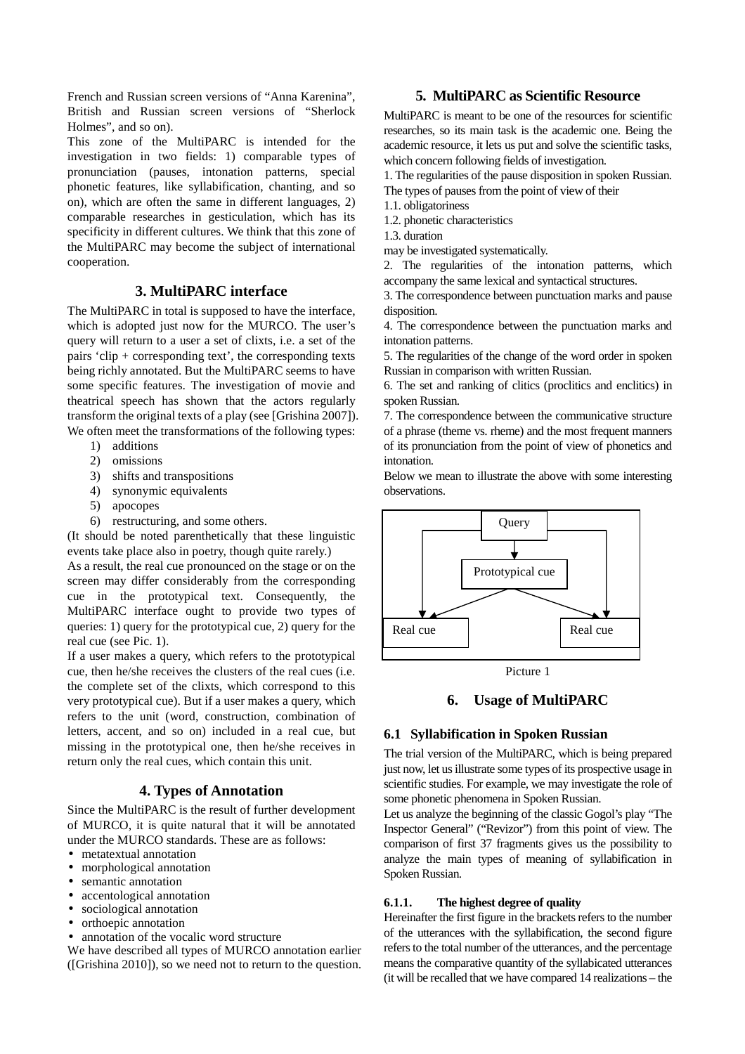French and Russian screen versions of "Anna Karenina", British and Russian screen versions of "Sherlock Holmes", and so on).

This zone of the MultiPARC is intended for the investigation in two fields: 1) comparable types of pronunciation (pauses, intonation patterns, special phonetic features, like syllabification, chanting, and so on), which are often the same in different languages, 2) comparable researches in gesticulation, which has its specificity in different cultures. We think that this zone of the MultiPARC may become the subject of international cooperation.

# **3. MultiPARC interface**

The MultiPARC in total is supposed to have the interface, which is adopted just now for the MURCO. The user's query will return to a user a set of clixts, i.e. a set of the pairs 'clip + corresponding text', the corresponding texts being richly annotated. But the MultiPARC seems to have some specific features. The investigation of movie and theatrical speech has shown that the actors regularly transform the original texts of a play (see [Grishina 2007]). We often meet the transformations of the following types:

- 1) additions
- 2) omissions
- 3) shifts and transpositions
- 4) synonymic equivalents
- 5) apocopes
- 6) restructuring, and some others.

(It should be noted parenthetically that these linguistic events take place also in poetry, though quite rarely.)

As a result, the real cue pronounced on the stage or on the screen may differ considerably from the corresponding cue in the prototypical text. Consequently, the MultiPARC interface ought to provide two types of queries: 1) query for the prototypical cue, 2) query for the real cue (see Pic. 1).

If a user makes a query, which refers to the prototypical cue, then he/she receives the clusters of the real cues (i.e. the complete set of the clixts, which correspond to this very prototypical cue). But if a user makes a query, which refers to the unit (word, construction, combination of letters, accent, and so on) included in a real cue, but missing in the prototypical one, then he/she receives in return only the real cues, which contain this unit.

## **4. Types of Annotation**

Since the MultiPARC is the result of further development of MURCO, it is quite natural that it will be annotated under the MURCO standards. These are as follows:

- metatextual annotation
- morphological annotation
- semantic annotation
- accentological annotation
- sociological annotation
- orthoepic annotation
- annotation of the vocalic word structure

We have described all types of MURCO annotation earlier ([Grishina 2010]), so we need not to return to the question.

# **5. MultiPARC as Scientific Resource**

MultiPARC is meant to be one of the resources for scientific researches, so its main task is the academic one. Being the academic resource, it lets us put and solve the scientific tasks, which concern following fields of investigation.

1. The regularities of the pause disposition in spoken Russian. The types of pauses from the point of view of their

- 1.1. obligatoriness
- 1.2. phonetic characteristics
- 1.3. duration
- may be investigated systematically.

2. The regularities of the intonation patterns, which accompany the same lexical and syntactical structures.

3. The correspondence between punctuation marks and pause disposition.

4. The correspondence between the punctuation marks and intonation patterns.

5. The regularities of the change of the word order in spoken Russian in comparison with written Russian.

6. The set and ranking of clitics (proclitics and enclitics) in spoken Russian.

7. The correspondence between the communicative structure of a phrase (theme vs. rheme) and the most frequent manners of its pronunciation from the point of view of phonetics and intonation.

Below we mean to illustrate the above with some interesting observations.



Picture 1

#### **6. Usage of MultiPARC**

# **6.1 Syllabification in Spoken Russian**

The trial version of the MultiPARC, which is being prepared just now, let us illustrate some types of its prospective usage in scientific studies. For example, we may investigate the role of some phonetic phenomena in Spoken Russian.

Let us analyze the beginning of the classic Gogol's play "The Inspector General" ("Revizor") from this point of view. The comparison of first 37 fragments gives us the possibility to analyze the main types of meaning of syllabification in Spoken Russian.

### **6.1.1. The highest degree of quality**

Hereinafter the first figure in the brackets refers to the number of the utterances with the syllabification, the second figure refers to the total number of the utterances, and the percentage means the comparative quantity of the syllabicated utterances (it will be recalled that we have compared 14 realizations – the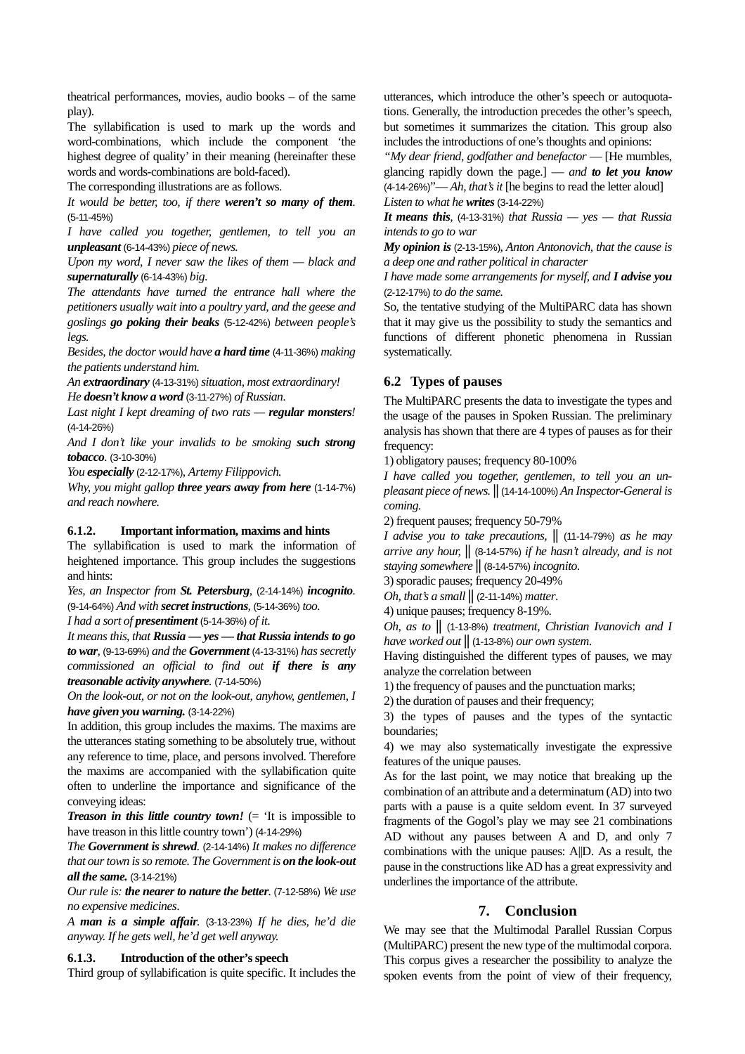theatrical performances, movies, audio books – of the same play).

The syllabification is used to mark up the words and word-combinations, which include the component 'the highest degree of quality' in their meaning (hereinafter these words and words-combinations are bold-faced).

The corresponding illustrations are as follows.

*It would be better, too, if there weren't so many of them.*  (5-11-45%)

*I have called you together, gentlemen, to tell you an unpleasant* (6-14-43%) *piece of news.*

*Upon my word, I never saw the likes of them — black and supernaturally* (6-14-43%) *big*.

*The attendants have turned the entrance hall where the petitioners usually wait into a poultry yard, and the geese and goslings go poking their beaks* (5-12-42%) *between people's legs.*

*Besides, the doctor would have a hard time* (4-11-36%) *making the patients understand him.* 

*An extraordinary* (4-13-31%) *situation, most extraordinary! He doesn't know a word* (3-11-27%) *of Russian.*

*Last night I kept dreaming of two rats — regular monsters!*  (4-14-26%)

*And I don't like your invalids to be smoking such strong tobacco.* (3-10-30%)

*You especially* (2-12-17%), *Artemy Filippovich.*

*Why, you might gallop three years away from here* (1-14-7%) *and reach nowhere.*

### **6.1.2. Important information, maxims and hints**

The syllabification is used to mark the information of heightened importance. This group includes the suggestions and hints:

*Yes, an Inspector from St. Petersburg,* (2-14-14%) *incognito.* (9-14-64%) *And with secret instructions,* (5-14-36%) *too.*

*I had a sort of presentiment* (5-14-36%) *of it*.

*It means this, that Russia — yes — that Russia intends to go to war,* (9-13-69%) *and the Government* (4-13-31%) *has secretly commissioned an official to find out if there is any treasonable activity anywhere.* (7-14-50%)

*On the look-out, or not on the look-out, anyhow, gentlemen, I have given you warning.* (3-14-22%)

In addition, this group includes the maxims. The maxims are the utterances stating something to be absolutely true, without any reference to time, place, and persons involved. Therefore the maxims are accompanied with the syllabification quite often to underline the importance and significance of the conveying ideas:

*Treason in this little country town!* (= 'It is impossible to have treason in this little country town') (4-14-29%)

*The Government is shrewd.* (2-14-14%) *It makes no difference that our town is so remote. The Government is on the look-out all the same.* (3-14-21%)

*Our rule is: the nearer to nature the better.* (7-12-58%) *We use no expensive medicines*.

*A man is a simple affair.* (3-13-23%) *If he dies, he'd die anyway. If he gets well, he'd get well anyway.*

#### **6.1.3. Introduction of the other's speech**

Third group of syllabification is quite specific. It includes the

utterances, which introduce the other's speech or autoquotations. Generally, the introduction precedes the other's speech, but sometimes it summarizes the citation. This group also includes the introductions of one's thoughts and opinions:

*"My dear friend, godfather and benefactor* — [He mumbles, glancing rapidly down the page.] — *and to let you know* (4-14-26%)"— *Ah, that's it* [he begins to read the letter aloud] *Listen to what he writes*(3-14-22%)

*It means this,* (4-13-31%) *that Russia — yes — that Russia intends to go to war* 

*My opinion is* (2-13-15%), *Anton Antonovich, that the cause is a deep one and rather political in character*

*I have made some arrangements for myself, and I advise you* (2-12-17%) *to do the same.*

So, the tentative studying of the MultiPARC data has shown that it may give us the possibility to study the semantics and functions of different phonetic phenomena in Russian systematically.

# **6.2 Types of pauses**

The MultiPARC presents the data to investigate the types and the usage of the pauses in Spoken Russian. The preliminary analysis has shown that there are 4 types of pauses as for their frequency:

1) obligatory pauses; frequency 80-100%

*I have called you together, gentlemen, to tell you an unpleasant piece of news.* **||** (14-14-100%) *An Inspector-General is coming.*

2) frequent pauses; frequency 50-79%

*I advise you to take precautions,* **||** (11-14-79%) *as he may arrive any hour,* **||** (8-14-57%) *if he hasn't already, and is not staying somewhere* **||** (8-14-57%) *incognito*.

3) sporadic pauses; frequency 20-49%

*Oh, that's a small* **||** (2-11-14%) *matter*.

4) unique pauses; frequency 8-19%.

*Oh, as to* **||** (1-13-8%) *treatment, Christian Ivanovich and I have worked out* **||** (1-13-8%) *our own system*.

Having distinguished the different types of pauses, we may analyze the correlation between

1) the frequency of pauses and the punctuation marks;

2) the duration of pauses and their frequency;

3) the types of pauses and the types of the syntactic boundaries;

4) we may also systematically investigate the expressive features of the unique pauses.

As for the last point, we may notice that breaking up the combination of an attribute and a determinatum (AD) into two parts with a pause is a quite seldom event. In 37 surveyed fragments of the Gogol's play we may see 21 combinations AD without any pauses between A and D, and only 7 combinations with the unique pauses: A||D. As a result, the pause in the constructions like AD has a great expressivity and underlines the importance of the attribute.

# **7. Conclusion**

We may see that the Multimodal Parallel Russian Corpus (MultiPARC) present the new type of the multimodal corpora. This corpus gives a researcher the possibility to analyze the spoken events from the point of view of their frequency,